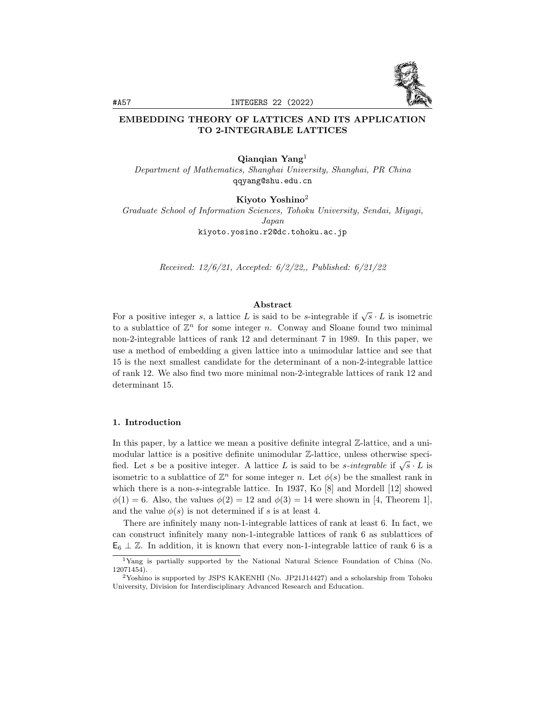

# EMBEDDING THEORY OF LATTICES AND ITS APPLICATION TO 2-INTEGRABLE LATTICES

#### Qianqian Yang<sup>1</sup>

Department of Mathematics, Shanghai University, Shanghai, PR China qqyang@shu.edu.cn

Kiyoto Yoshino<sup>2</sup>

Graduate School of Information Sciences, Tohoku University, Sendai, Miyagi, Japan kiyoto.yosino.r2@dc.tohoku.ac.jp

Received: 12/6/21, Accepted: 6/2/22,, Published: 6/21/22

## Abstract

For a positive integer s, a lattice L is said to be s-integrable if  $\sqrt{s} \cdot L$  is isometric to a sublattice of  $\mathbb{Z}^n$  for some integer n. Conway and Sloane found two minimal non-2-integrable lattices of rank 12 and determinant 7 in 1989. In this paper, we use a method of embedding a given lattice into a unimodular lattice and see that 15 is the next smallest candidate for the determinant of a non-2-integrable lattice of rank 12. We also find two more minimal non-2-integrable lattices of rank 12 and determinant 15.

#### 1. Introduction

In this paper, by a lattice we mean a positive definite integral  $\mathbb{Z}\text{-lattice}$ , and a unimodular lattice is a positive definite unimodular Z-lattice, unless otherwise specified. Let s be a positive integer. A lattice L is said to be s-integrable if  $\sqrt{s} \cdot L$  is isometric to a sublattice of  $\mathbb{Z}^n$  for some integer n. Let  $\phi(s)$  be the smallest rank in which there is a non-s-integrable lattice. In 1937, Ko [8] and Mordell [12] showed  $\phi(1) = 6$ . Also, the values  $\phi(2) = 12$  and  $\phi(3) = 14$  were shown in [4, Theorem 1], and the value  $\phi(s)$  is not determined if s is at least 4.

There are infinitely many non-1-integrable lattices of rank at least 6. In fact, we can construct infinitely many non-1-integrable lattices of rank 6 as sublattices of  $\mathsf{E}_6 \perp \mathbb{Z}$ . In addition, it is known that every non-1-integrable lattice of rank 6 is a

<sup>1</sup>Yang is partially supported by the National Natural Science Foundation of China (No. 12071454).

<sup>2</sup>Yoshino is supported by JSPS KAKENHI (No. JP21J14427) and a scholarship from Tohoku University, Division for Interdisciplinary Advanced Research and Education.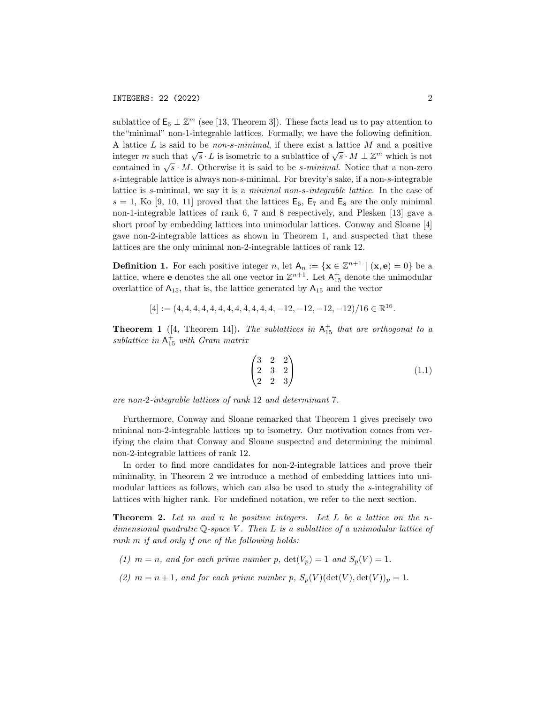sublattice of  $\mathsf{E}_6 \perp \mathbb{Z}^m$  (see [13, Theorem 3]). These facts lead us to pay attention to the"minimal" non-1-integrable lattices. Formally, we have the following definition. A lattice  $L$  is said to be *non-s-minimal*, if there exist a lattice  $M$  and a positive integer m such that  $\sqrt{s} \cdot L$  is isometric to a sublattice of  $\sqrt{s} \cdot M \perp \mathbb{Z}^m$  which is not contained in  $\sqrt{s} \cdot M$ . Otherwise it is said to be *s-minimal*. Notice that a non-zero s-integrable lattice is always non-s-minimal. For brevity's sake, if a non-s-integrable lattice is s-minimal, we say it is a minimal non-s-integrable lattice. In the case of  $s = 1$ , Ko [9, 10, 11] proved that the lattices  $E_6$ ,  $E_7$  and  $E_8$  are the only minimal non-1-integrable lattices of rank 6, 7 and 8 respectively, and Plesken [13] gave a short proof by embedding lattices into unimodular lattices. Conway and Sloane [4] gave non-2-integrable lattices as shown in Theorem 1, and suspected that these lattices are the only minimal non-2-integrable lattices of rank 12.

**Definition 1.** For each positive integer n, let  $A_n := \{x \in \mathbb{Z}^{n+1} \mid (x, e) = 0\}$  be a lattice, where **e** denotes the all one vector in  $\mathbb{Z}^{n+1}$ . Let  $A_{15}^+$  denote the unimodular overlattice of  $A_{15}$ , that is, the lattice generated by  $A_{15}$  and the vector

$$
[4] := (4, 4, 4, 4, 4, 4, 4, 4, 4, 4, 4, 4, -12, -12, -12, -12)/16 \in \mathbb{R}^{16}.
$$

**Theorem 1** ([4, Theorem 14]). The sublattices in  $A_{15}^+$  that are orthogonal to a sublattice in  $A_{15}^+$  with Gram matrix

$$
\begin{pmatrix} 3 & 2 & 2 \\ 2 & 3 & 2 \\ 2 & 2 & 3 \end{pmatrix}
$$
 (1.1)

are non-2-integrable lattices of rank 12 and determinant 7.

Furthermore, Conway and Sloane remarked that Theorem 1 gives precisely two minimal non-2-integrable lattices up to isometry. Our motivation comes from verifying the claim that Conway and Sloane suspected and determining the minimal non-2-integrable lattices of rank 12.

In order to find more candidates for non-2-integrable lattices and prove their minimality, in Theorem 2 we introduce a method of embedding lattices into unimodular lattices as follows, which can also be used to study the s-integrability of lattices with higher rank. For undefined notation, we refer to the next section.

**Theorem 2.** Let  $m$  and  $n$  be positive integers. Let  $L$  be a lattice on the ndimensional quadratic  $\mathbb{Q}$ -space V. Then L is a sublattice of a unimodular lattice of rank m if and only if one of the following holds:

(1)  $m = n$ , and for each prime number p,  $\det(V_p) = 1$  and  $S_p(V) = 1$ .

(2)  $m = n + 1$ , and for each prime number p,  $S_p(V)(\det(V), \det(V))_p = 1$ .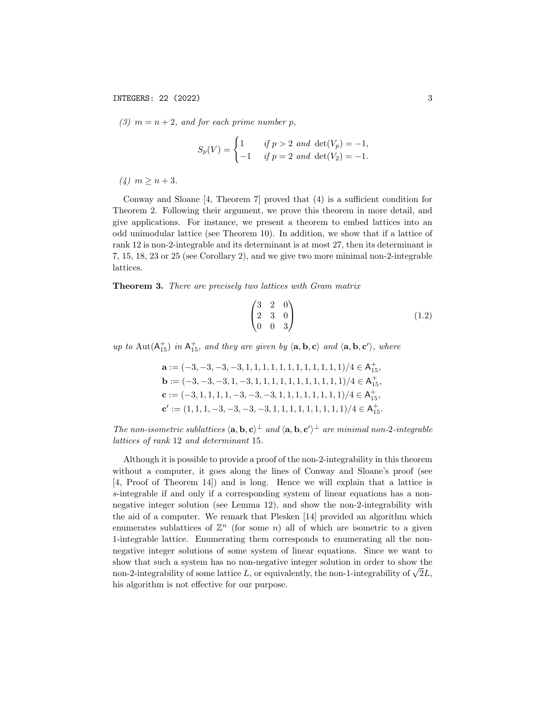(3)  $m = n + 2$ , and for each prime number p,

$$
S_p(V) = \begin{cases} 1 & \text{if } p > 2 \text{ and } \det(V_p) = -1, \\ -1 & \text{if } p = 2 \text{ and } \det(V_2) = -1. \end{cases}
$$

(4)  $m > n + 3$ .

Conway and Sloane [4, Theorem 7] proved that (4) is a sufficient condition for Theorem 2. Following their argument, we prove this theorem in more detail, and give applications. For instance, we present a theorem to embed lattices into an odd unimodular lattice (see Theorem 10). In addition, we show that if a lattice of rank 12 is non-2-integrable and its determinant is at most 27, then its determinant is 7, 15, 18, 23 or 25 (see Corollary 2), and we give two more minimal non-2-integrable lattices.

### Theorem 3. There are precisely two lattices with Gram matrix

$$
\begin{pmatrix} 3 & 2 & 0 \\ 2 & 3 & 0 \\ 0 & 0 & 3 \end{pmatrix}
$$
 (1.2)

up to  $\text{Aut}(\mathsf{A}^+_{15})$  in  $\mathsf{A}^+_{15}$ , and they are given by  $\langle \mathbf{a}, \mathbf{b}, \mathbf{c} \rangle$  and  $\langle \mathbf{a}, \mathbf{b}, \mathbf{c'} \rangle$ , where

$$
\begin{aligned} \mathbf{a} &:= (-3,-3,-3,-3,1,1,1,1,1,1,1,1,1,1,1,1,1)/4 \in \mathsf{A}_{15}^+, \\ \mathbf{b} &:= (-3,-3,-3,1,-3,1,1,1,1,1,1,1,1,1,1)/4 \in \mathsf{A}_{15}^+, \\ \mathbf{c} &:= (-3,1,1,1,1,-3,-3,-3,1,1,1,1,1,1,1,1)/4 \in \mathsf{A}_{15}^+, \\ \mathbf{c}' &:= (1,1,1,-3,-3,-3,-3,1,1,1,1,1,1,1,1,1)/4 \in \mathsf{A}_{15}^+. \end{aligned}
$$

The non-isometric sublattices  $\langle \mathbf{a}, \mathbf{b}, \mathbf{c} \rangle^{\perp}$  and  $\langle \mathbf{a}, \mathbf{b}, \mathbf{c'} \rangle^{\perp}$  are minimal non-2-integrable lattices of rank 12 and determinant 15.

Although it is possible to provide a proof of the non-2-integrability in this theorem without a computer, it goes along the lines of Conway and Sloane's proof (see [4, Proof of Theorem 14]) and is long. Hence we will explain that a lattice is s-integrable if and only if a corresponding system of linear equations has a nonnegative integer solution (see Lemma 12), and show the non-2-integrability with the aid of a computer. We remark that Plesken [14] provided an algorithm which enumerates sublattices of  $\mathbb{Z}^n$  (for some n) all of which are isometric to a given 1-integrable lattice. Enumerating them corresponds to enumerating all the nonnegative integer solutions of some system of linear equations. Since we want to show that such a system has no non-negative integer solution in order to show the show that such a system has no non-negative integer solution in order to show the non-2-integrability of some lattice  $L$ , or equivalently, the non-1-integrability of  $\sqrt{2}L$ , his algorithm is not effective for our purpose.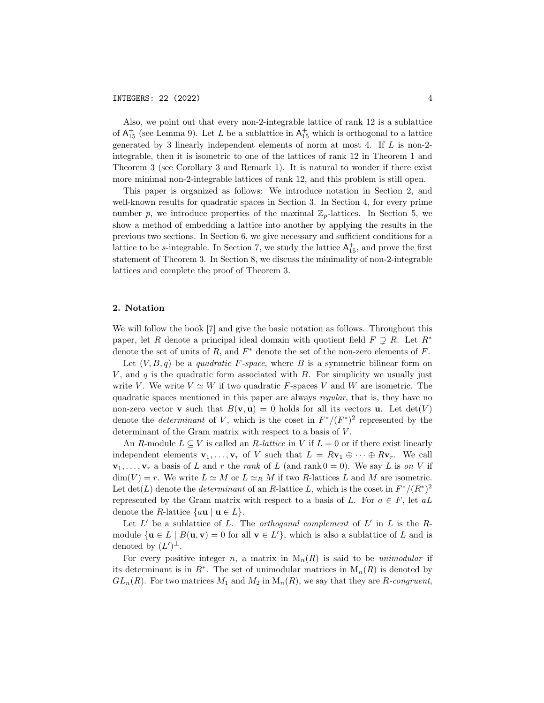Also, we point out that every non-2-integrable lattice of rank 12 is a sublattice of  $A_{15}^+$  (see Lemma 9). Let L be a sublattice in  $A_{15}^+$  which is orthogonal to a lattice generated by 3 linearly independent elements of norm at most 4. If  $L$  is non-2integrable, then it is isometric to one of the lattices of rank 12 in Theorem 1 and Theorem 3 (see Corollary 3 and Remark 1). It is natural to wonder if there exist more minimal non-2-integrable lattices of rank 12, and this problem is still open.

This paper is organized as follows: We introduce notation in Section 2, and well-known results for quadratic spaces in Section 3. In Section 4, for every prime number p, we introduce properties of the maximal  $\mathbb{Z}_p$ -lattices. In Section 5, we show a method of embedding a lattice into another by applying the results in the previous two sections. In Section 6, we give necessary and sufficient conditions for a lattice to be s-integrable. In Section 7, we study the lattice  $A_{15}^+$ , and prove the first statement of Theorem 3. In Section 8, we discuss the minimality of non-2-integrable lattices and complete the proof of Theorem 3.

## 2. Notation

We will follow the book [7] and give the basic notation as follows. Throughout this paper, let R denote a principal ideal domain with quotient field  $F \supsetneq R$ . Let  $R^*$ denote the set of units of  $R$ , and  $F^*$  denote the set of the non-zero elements of  $F$ .

Let  $(V, B, q)$  be a quadratic F-space, where B is a symmetric bilinear form on V, and q is the quadratic form associated with  $B$ . For simplicity we usually just write V. We write  $V \simeq W$  if two quadratic F-spaces V and W are isometric. The quadratic spaces mentioned in this paper are always regular, that is, they have no non-zero vector **v** such that  $B(\mathbf{v}, \mathbf{u}) = 0$  holds for all its vectors **u**. Let  $det(V)$ denote the *determinant* of V, which is the coset in  $F^*/(F^*)^2$  represented by the determinant of the Gram matrix with respect to a basis of  $V$ .

An R-module  $L \subseteq V$  is called an R-lattice in V if  $L = 0$  or if there exist linearly independent elements  $\mathbf{v}_1, \ldots, \mathbf{v}_r$  of V such that  $L = R\mathbf{v}_1 \oplus \cdots \oplus R\mathbf{v}_r$ . We call  $\mathbf{v}_1, \ldots, \mathbf{v}_r$  a basis of L and r the rank of L (and rank  $0 = 0$ ). We say L is on V if  $\dim(V) = r$ . We write  $L \simeq M$  or  $L \simeq_R M$  if two R-lattices L and M are isometric. Let  $\det(L)$  denote the *determinant* of an R-lattice L, which is the coset in  $F^*/(R^*)^2$ represented by the Gram matrix with respect to a basis of L. For  $a \in F$ , let  $aL$ denote the R-lattice  $\{au \mid u \in L\}.$ 

Let  $L'$  be a sublattice of L. The *orthogonal complement* of  $L'$  in  $L$  is the Rmodule  $\{u \in L \mid B(u, v) = 0 \text{ for all } v \in L'\},\$  which is also a sublattice of L and is denoted by  $(L')^{\perp}$ .

For every positive integer n, a matrix in  $M_n(R)$  is said to be unimodular if its determinant is in  $R^*$ . The set of unimodular matrices in  $M_n(R)$  is denoted by  $GL_n(R)$ . For two matrices  $M_1$  and  $M_2$  in  $M_n(R)$ , we say that they are R-congruent,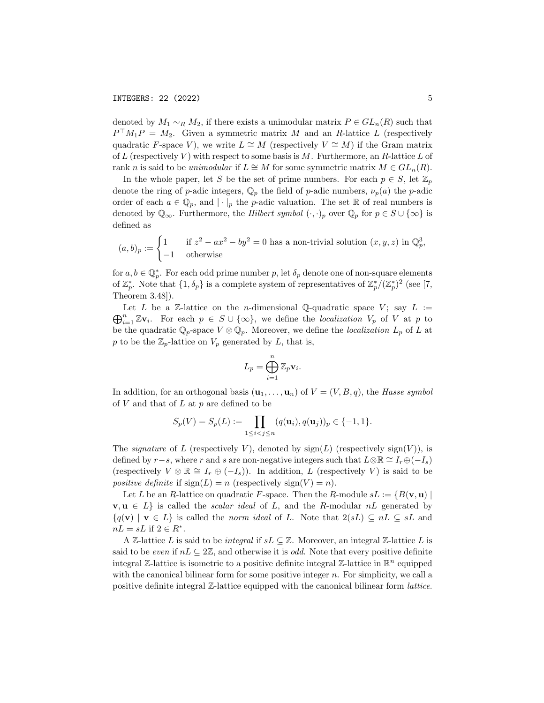denoted by  $M_1 \sim_R M_2$ , if there exists a unimodular matrix  $P \in GL_n(R)$  such that  $P<sup>T</sup>M<sub>1</sub>P = M<sub>2</sub>$ . Given a symmetric matrix M and an R-lattice L (respectively quadratic F-space V), we write  $L \cong M$  (respectively  $V \cong M$ ) if the Gram matrix of L (respectively V) with respect to some basis is  $M$ . Furthermore, an R-lattice L of rank n is said to be unimodular if  $L \cong M$  for some symmetric matrix  $M \in GL_n(R)$ .

In the whole paper, let S be the set of prime numbers. For each  $p \in S$ , let  $\mathbb{Z}_p$ denote the ring of p-adic integers,  $\mathbb{Q}_p$  the field of p-adic numbers,  $\nu_p(a)$  the p-adic order of each  $a \in \mathbb{Q}_p$ , and  $|\cdot|_p$  the p-adic valuation. The set R of real numbers is denoted by  $\mathbb{Q}_{\infty}$ . Furthermore, the *Hilbert symbol*  $(\cdot, \cdot)_p$  over  $\mathbb{Q}_p$  for  $p \in S \cup \{\infty\}$  is defined as

$$
(a,b)_p := \begin{cases} 1 & \text{if } z^2 - ax^2 - by^2 = 0 \text{ has a non-trivial solution } (x,y,z) \text{ in } \mathbb{Q}_p^3, \\ -1 & \text{otherwise} \end{cases}
$$

for  $a, b \in \mathbb{Q}_p^*$ . For each odd prime number p, let  $\delta_p$  denote one of non-square elements of  $\mathbb{Z}_p^*$ . Note that  $\{1,\delta_p\}$  is a complete system of representatives of  $\mathbb{Z}_p^*/(\mathbb{Z}_p^*)^2$  (see [7, Theorem 3.48]).

 $\bigoplus_{i=1}^n \mathbb{Z} \mathbf{v}_i$ . For each  $p \in S \cup \{\infty\}$ , we define the localization  $V_p$  of V at p to Let L be a Z-lattice on the *n*-dimensional Q-quadratic space V; say  $L :=$ be the quadratic  $\mathbb{Q}_p$ -space  $V \otimes \mathbb{Q}_p$ . Moreover, we define the *localization*  $L_p$  of L at p to be the  $\mathbb{Z}_p$ -lattice on  $V_p$  generated by L, that is,

$$
L_p = \bigoplus_{i=1}^n \mathbb{Z}_p \mathbf{v}_i.
$$

In addition, for an orthogonal basis  $(\mathbf{u}_1, \ldots, \mathbf{u}_n)$  of  $V = (V, B, q)$ , the Hasse symbol of  $V$  and that of  $L$  at  $p$  are defined to be

$$
S_p(V) = S_p(L) := \prod_{1 \le i < j \le n} (q(\mathbf{u}_i), q(\mathbf{u}_j))_p \in \{-1, 1\}.
$$

The *signature* of L (respectively V), denoted by  $sign(L)$  (respectively  $sign(V)$ ), is defined by  $r-s$ , where r and s are non-negative integers such that  $L \otimes \mathbb{R} \cong I_r \oplus (-I_s)$ (respectively  $V \otimes \mathbb{R} \cong I_r \oplus (-I_s)$ ). In addition, L (respectively V) is said to be positive definite if  $sign(L) = n$  (respectively  $sign(V) = n$ ).

Let L be an R-lattice on quadratic F-space. Then the R-module  $sL := \{B(\mathbf{v}, \mathbf{u})\}$  $\mathbf{v}, \mathbf{u} \in L$  is called the *scalar ideal* of L, and the R-modular nL generated by  ${q(\mathbf{v}) \mid \mathbf{v} \in L}$  is called the norm ideal of L. Note that  $2(sL) \subseteq nL \subseteq sL$  and  $nL = sL$  if  $2 \in R^*$ .

A Z-lattice L is said to be *integral* if  $sL \subseteq \mathbb{Z}$ . Moreover, an integral Z-lattice L is said to be even if  $nL \subseteq 2\mathbb{Z}$ , and otherwise it is *odd*. Note that every positive definite integral  $\mathbb{Z}$ -lattice is isometric to a positive definite integral  $\mathbb{Z}$ -lattice in  $\mathbb{R}^n$  equipped with the canonical bilinear form for some positive integer  $n$ . For simplicity, we call a positive definite integral Z-lattice equipped with the canonical bilinear form lattice.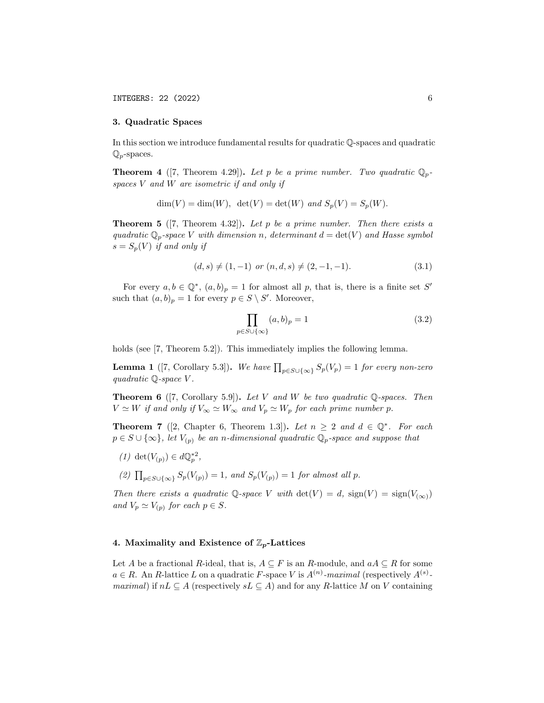#### 3. Quadratic Spaces

In this section we introduce fundamental results for quadratic Q-spaces and quadratic  $\mathbb{Q}_p$ -spaces.

**Theorem 4** ([7, Theorem 4.29]). Let p be a prime number. Two quadratic  $\mathbb{Q}_p$ spaces  $V$  and  $W$  are isometric if and only if

$$
\dim(V) = \dim(W), \ \det(V) = \det(W) \ and \ S_p(V) = S_p(W).
$$

**Theorem 5** ([7, Theorem 4.32]). Let p be a prime number. Then there exists a quadratic  $\mathbb{Q}_p$ -space V with dimension n, determinant  $d = \det(V)$  and Hasse symbol  $s = S_p(V)$  if and only if

$$
(d,s) \neq (1,-1) \text{ or } (n,d,s) \neq (2,-1,-1). \tag{3.1}
$$

For every  $a, b \in \mathbb{Q}^*, (a, b)_p = 1$  for almost all p, that is, there is a finite set S' such that  $(a, b)_p = 1$  for every  $p \in S \setminus S'$ . Moreover,

$$
\prod_{p \in S \cup \{\infty\}} (a, b)_p = 1 \tag{3.2}
$$

holds (see [7, Theorem 5.2]). This immediately implies the following lemma.

**Lemma 1** ([7, Corollary 5.3]). We have  $\prod_{p \in S \cup \{\infty\}} S_p(V_p) = 1$  for every non-zero quadratic  $\mathbb{Q}$ -space V.

**Theorem 6** ([7, Corollary 5.9]). Let V and W be two quadratic  $\mathbb{Q}$ -spaces. Then  $V \simeq W$  if and only if  $V_{\infty} \simeq W_{\infty}$  and  $V_p \simeq W_p$  for each prime number p.

**Theorem 7** ([2, Chapter 6, Theorem 1.3]). Let  $n \geq 2$  and  $d \in \mathbb{Q}^*$ . For each  $p \in S \cup \{\infty\}$ , let  $V_{(p)}$  be an n-dimensional quadratic  $\mathbb{Q}_p$ -space and suppose that

- (1) det( $V_{(p)}$ )  $\in d\mathbb{Q}_p^{*2}$ ,
- (2)  $\prod_{p \in S \cup \{\infty\}} S_p(V_{(p)}) = 1$ , and  $S_p(V_{(p)}) = 1$  for almost all p.

Then there exists a quadratic Q-space V with  $\det(V) = d$ ,  $\text{sign}(V) = \text{sign}(V_{(\infty)})$ and  $V_p \simeq V_{(p)}$  for each  $p \in S$ .

#### 4. Maximality and Existence of  $\mathbb{Z}_p$ -Lattices

Let A be a fractional R-ideal, that is,  $A \subseteq F$  is an R-module, and  $aA \subseteq R$  for some  $a \in R$ . An R-lattice L on a quadratic F-space V is  $A^{(n)}$ -maximal (respectively  $A^{(s)}$ *maximal*) if  $nL \subseteq A$  (respectively  $sL \subseteq A$ ) and for any R-lattice M on V containing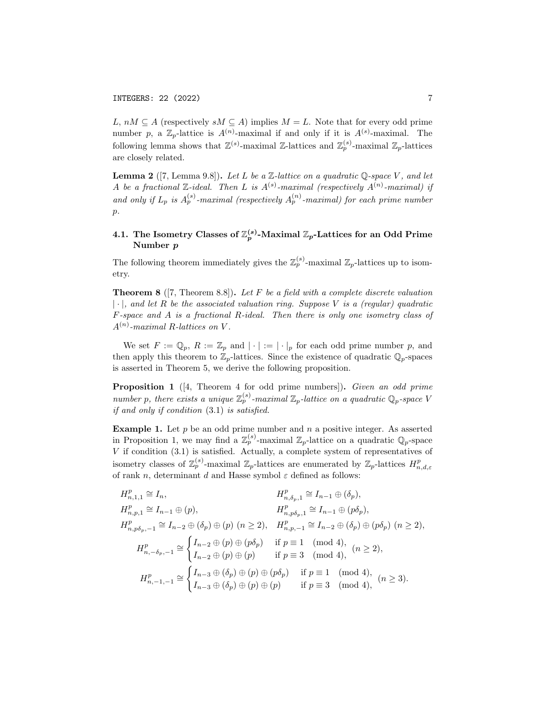L,  $nM \subseteq A$  (respectively  $sM \subseteq A$ ) implies  $M = L$ . Note that for every odd prime number p, a  $\mathbb{Z}_p$ -lattice is  $A^{(n)}$ -maximal if and only if it is  $A^{(s)}$ -maximal. The following lemma shows that  $\mathbb{Z}^{(s)}$ -maximal  $\mathbb{Z}$ -lattices and  $\mathbb{Z}_p^{(s)}$ -maximal  $\mathbb{Z}_p$ -lattices are closely related.

**Lemma 2** ([7, Lemma 9.8]). Let L be a  $\mathbb{Z}$ -lattice on a quadratic  $\mathbb{Q}$ -space V, and let A be a fractional  $\mathbb{Z}$ -ideal. Then L is  $A^{(s)}$ -maximal (respectively  $A^{(n)}$ -maximal) if and only if  $L_p$  is  $A_p^{(s)}$ -maximal (respectively  $A_p^{(n)}$ -maximal) for each prime number  $\mathcal{D}$ .

# 4.1. The Isometry Classes of  $\mathbb{Z}_p^{(s)}$ -Maximal  $\mathbb{Z}_p$ -Lattices for an Odd Prime Number p

The following theorem immediately gives the  $\mathbb{Z}_p^{(s)}$ -maximal  $\mathbb{Z}_p$ -lattices up to isometry.

**Theorem 8** ([7, Theorem 8.8]). Let F be a field with a complete discrete valuation  $|\cdot|$ , and let R be the associated valuation ring. Suppose V is a (regular) quadratic F-space and A is a fractional R-ideal. Then there is only one isometry class of  $A^{(n)}$ -maximal R-lattices on V.

We set  $F := \mathbb{Q}_p$ ,  $R := \mathbb{Z}_p$  and  $|\cdot| := |\cdot|_p$  for each odd prime number p, and then apply this theorem to  $\mathbb{Z}_p$ -lattices. Since the existence of quadratic  $\mathbb{Q}_p$ -spaces is asserted in Theorem 5, we derive the following proposition.

**Proposition 1** ([4, Theorem 4 for odd prime numbers]). Given an odd prime number p, there exists a unique  $\mathbb{Z}_p^{(s)}$ -maximal  $\mathbb{Z}_p$ -lattice on a quadratic  $\mathbb{Q}_p$ -space V if and only if condition (3.1) is satisfied.

**Example 1.** Let  $p$  be an odd prime number and  $n$  a positive integer. As asserted in Proposition 1, we may find a  $\mathbb{Z}_p^{(s)}$ -maximal  $\mathbb{Z}_p$ -lattice on a quadratic  $\mathbb{Q}_p$ -space V if condition (3.1) is satisfied. Actually, a complete system of representatives of isometry classes of  $\mathbb{Z}_p^{(s)}$ -maximal  $\mathbb{Z}_p$ -lattices are enumerated by  $\mathbb{Z}_p$ -lattices  $H_{n,d,\varepsilon}^p$ of rank n, determinant d and Hasse symbol  $\varepsilon$  defined as follows:

$$
H_{n,1,1}^{p} \cong I_{n},
$$
  
\n
$$
H_{n,p,1}^{p} \cong I_{n-1} \oplus (p),
$$
  
\n
$$
H_{n,p\delta_{p},1}^{p} \cong I_{n-1} \oplus (\delta_{p}),
$$
  
\n
$$
H_{n,p\delta_{p},-1}^{p} \cong I_{n-2} \oplus (\delta_{p}) \oplus (p) \ (n \ge 2),
$$
  
\n
$$
H_{n,p\delta_{p},-1}^{p} \cong I_{n-2} \oplus (\delta_{p}) \oplus (p) \ (n \ge 2),
$$
  
\n
$$
H_{n,-\delta_{p},-1}^{p} \cong \begin{cases} I_{n-2} \oplus (p) \oplus (p\delta_{p}) & \text{if } p \equiv 1 \pmod{4}, \\ I_{n-2} \oplus (p) \oplus (p) & \text{if } p \equiv 3 \pmod{4}, \end{cases} (n \ge 2),
$$
  
\n
$$
H_{n,-\delta_{p},-1}^{p} \cong \begin{cases} I_{n-3} \oplus (\delta_{p}) \oplus (p) & \text{if } p \equiv 3 \pmod{4}, \\ I_{n-3} \oplus (\delta_{p}) \oplus (p) \oplus (p) & \text{if } p \equiv 3 \pmod{4}, \\ I_{n-3} \oplus (\delta_{p}) \oplus (p) \oplus (p) & \text{if } p \equiv 3 \pmod{4}, \end{cases} (n \ge 3).
$$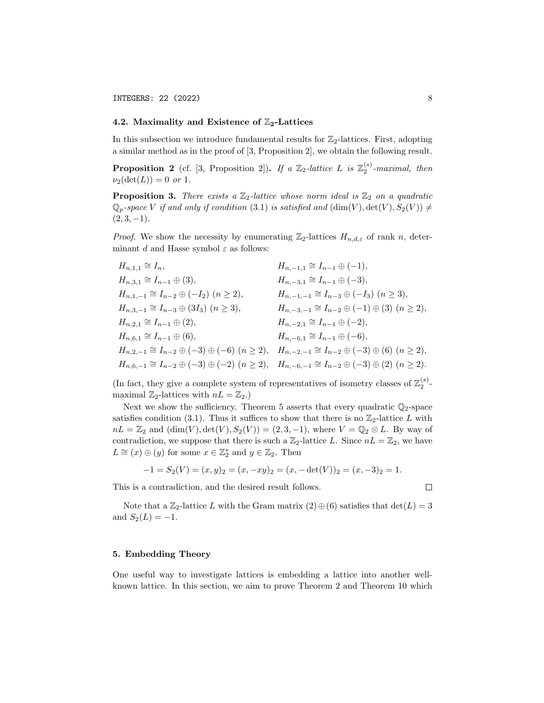## 4.2. Maximality and Existence of  $\mathbb{Z}_2$ -Lattices

In this subsection we introduce fundamental results for  $\mathbb{Z}_2$ -lattices. First, adopting a similar method as in the proof of [3, Proposition 2], we obtain the following result.

**Proposition 2** (cf. [3, Proposition 2]). If a  $\mathbb{Z}_2$ -lattice L is  $\mathbb{Z}_2^{(s)}$ -maximal, then  $\nu_2(\det(L)) = 0 \text{ or } 1.$ 

**Proposition 3.** There exists a  $\mathbb{Z}_2$ -lattice whose norm ideal is  $\mathbb{Z}_2$  on a quadratic  $\mathbb{Q}_p$ -space V if and only if condition (3.1) is satisfied and  $(\dim(V), \det(V), S_2(V)) \neq$  $(2, 3, -1)$ .

*Proof.* We show the necessity by enumerating  $\mathbb{Z}_2$ -lattices  $H_{n,d,\varepsilon}$  of rank n, determinant d and Hasse symbol  $\varepsilon$  as follows:

$$
H_{n,1,1} \cong I_n, \t H_{n,3,1} \cong I_{n-1} \oplus (3), \t H_{n,-1,1} \cong I_{n-1} \oplus (-1),
$$
  
\n
$$
H_{n,1,-1} \cong I_{n-2} \oplus (-I_2) \quad (n \ge 2), \t H_{n,-1,1} \cong I_{n-3} \oplus (-I_3) \quad (n \ge 3),
$$
  
\n
$$
H_{n,3,-1} \cong I_{n-3} \oplus (3I_3) \quad (n \ge 3), \t H_{n,-3,-1} \cong I_{n-2} \oplus (-1) \oplus (3) \quad (n \ge 2),
$$
  
\n
$$
H_{n,2,1} \cong I_{n-1} \oplus (2), \t H_{n,-2,1} \cong I_{n-1} \oplus (-2),
$$
  
\n
$$
H_{n,3,-1} \cong I_{n-1} \oplus (6), \t H_{n,-2,1} \cong I_{n-1} \oplus (-6),
$$
  
\n
$$
H_{n,2,-1} \cong I_{n-2} \oplus (-3) \oplus (-6) \quad (n \ge 2), \t H_{n,-2,-1} \cong I_{n-2} \oplus (-3) \oplus (6) \quad (n \ge 2),
$$
  
\n
$$
H_{n,6,-1} \cong I_{n-2} \oplus (-3) \oplus (-2) \quad (n \ge 2), \t H_{n,-6,-1} \cong I_{n-2} \oplus (-3) \oplus (2) \quad (n \ge 2).
$$

(In fact, they give a complete system of representatives of isometry classes of  $\mathbb{Z}_2^{(s)}$ maximal  $\mathbb{Z}_2$ -lattices with  $nL = \mathbb{Z}_2$ .)

Next we show the sufficiency. Theorem 5 asserts that every quadratic  $\mathbb{Q}_2$ -space satisfies condition (3.1). Thus it suffices to show that there is no  $\mathbb{Z}_2$ -lattice L with  $nL = \mathbb{Z}_2$  and  $(\dim(V), \det(V), S_2(V)) = (2, 3, -1)$ , where  $V = \mathbb{Q}_2 \otimes L$ . By way of contradiction, we suppose that there is such a  $\mathbb{Z}_2$ -lattice L. Since  $nL = \mathbb{Z}_2$ , we have  $L \cong (x) \oplus (y)$  for some  $x \in \mathbb{Z}_2^*$  and  $y \in \mathbb{Z}_2$ . Then

$$
-1 = S_2(V) = (x, y)_2 = (x, -xy)_2 = (x, -\det(V))_2 = (x, -3)_2 = 1.
$$

This is a contradiction, and the desired result follows.

 $\Box$ 

Note that a  $\mathbb{Z}_2$ -lattice L with the Gram matrix  $(2) \oplus (6)$  satisfies that  $\det(L) = 3$ and  $S_2(L) = -1$ .

## 5. Embedding Theory

One useful way to investigate lattices is embedding a lattice into another wellknown lattice. In this section, we aim to prove Theorem 2 and Theorem 10 which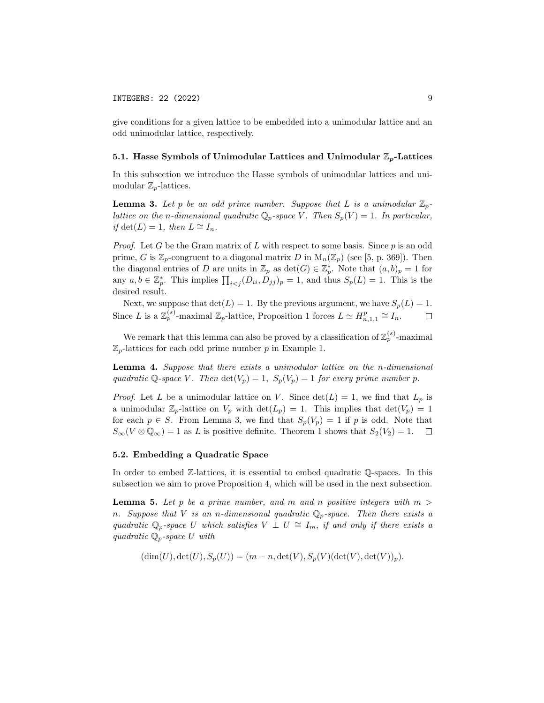give conditions for a given lattice to be embedded into a unimodular lattice and an odd unimodular lattice, respectively.

## 5.1. Hasse Symbols of Unimodular Lattices and Unimodular  $\mathbb{Z}_p$ -Lattices

In this subsection we introduce the Hasse symbols of unimodular lattices and unimodular  $\mathbb{Z}_n$ -lattices.

**Lemma 3.** Let p be an odd prime number. Suppose that L is a unimodular  $\mathbb{Z}_p$ lattice on the n-dimensional quadratic  $\mathbb{Q}_p$ -space V. Then  $S_p(V) = 1$ . In particular, *if* det(*L*) = 1, then  $L \cong I_n$ .

*Proof.* Let G be the Gram matrix of L with respect to some basis. Since p is an odd prime, G is  $\mathbb{Z}_p$ -congruent to a diagonal matrix D in  $M_n(\mathbb{Z}_p)$  (see [5, p. 369]). Then the diagonal entries of D are units in  $\mathbb{Z}_p$  as  $\det(G) \in \mathbb{Z}_p^*$ . Note that  $(a, b)_p = 1$  for any  $a, b \in \mathbb{Z}_p^*$ . This implies  $\prod_{i < j} (D_{ii}, D_{jj})_p = 1$ , and thus  $S_p(L) = 1$ . This is the desired result.

Next, we suppose that  $\det(L) = 1$ . By the previous argument, we have  $S_p(L) = 1$ . Since L is a  $\mathbb{Z}_p^{(s)}$ -maximal  $\mathbb{Z}_p$ -lattice, Proposition 1 forces  $L \simeq H_{n,1,1}^p \cong I_n$ .  $\Box$ 

We remark that this lemma can also be proved by a classification of  $\mathbb{Z}_p^{(s)}$ -maximal  $\mathbb{Z}_p$ -lattices for each odd prime number p in Example 1.

Lemma 4. Suppose that there exists a unimodular lattice on the n-dimensional quadratic Q-space V. Then  $\det(V_p) = 1$ ,  $S_p(V_p) = 1$  for every prime number p.

*Proof.* Let L be a unimodular lattice on V. Since  $det(L) = 1$ , we find that  $L_p$  is a unimodular  $\mathbb{Z}_p$ -lattice on  $V_p$  with  $\det(L_p) = 1$ . This implies that  $\det(V_p) = 1$ for each  $p \in S$ . From Lemma 3, we find that  $S_p(V_p) = 1$  if p is odd. Note that  $S_{\infty}(V \otimes \mathbb{Q}_{\infty}) = 1$  as L is positive definite. Theorem 1 shows that  $S_2(V_2) = 1$ .  $\Box$ 

## 5.2. Embedding a Quadratic Space

In order to embed Z-lattices, it is essential to embed quadratic Q-spaces. In this subsection we aim to prove Proposition 4, which will be used in the next subsection.

**Lemma 5.** Let p be a prime number, and m and n positive integers with  $m >$ n. Suppose that V is an n-dimensional quadratic  $\mathbb{Q}_p$ -space. Then there exists a quadratic  $\mathbb{Q}_p$ -space U which satisfies  $V \perp U \cong I_m$ , if and only if there exists a quadratic  $\mathbb{Q}_p$ -space U with

$$
(\dim(U), \det(U), S_p(U)) = (m - n, \det(V), S_p(V)(\det(V), \det(V))_p).
$$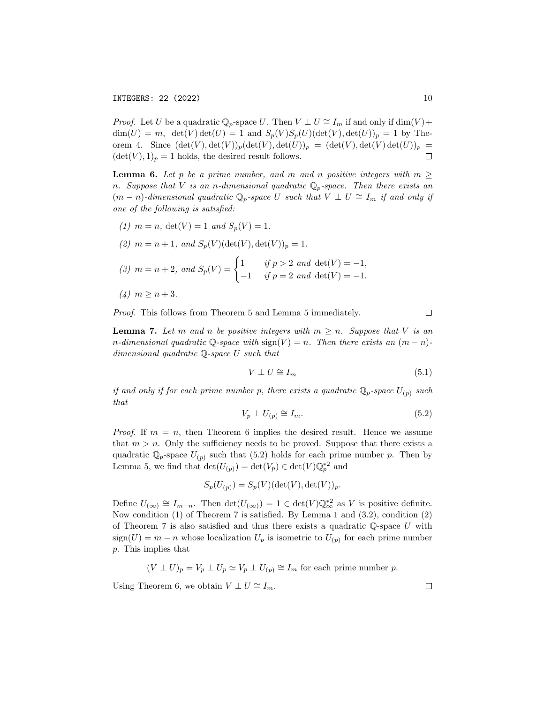*Proof.* Let U be a quadratic  $\mathbb{Q}_p$ -space U. Then  $V \perp U \cong I_m$  if and only if  $\dim(V)$  +  $\dim(U) = m$ ,  $\det(V) \det(U) = 1$  and  $S_p(V)S_p(U)(\det(V), \det(U))_p = 1$  by Theorem 4. Since  $(\det(V), \det(V))_p(\det(V), \det(U))_p = (\det(V), \det(V) \det(U))_p =$  $(\det(V), 1)_p = 1$  holds, the desired result follows.  $\Box$ 

**Lemma 6.** Let p be a prime number, and m and n positive integers with  $m \geq$ n. Suppose that V is an n-dimensional quadratic  $\mathbb{Q}_p$ -space. Then there exists an  $(m - n)$ -dimensional quadratic  $\mathbb{Q}_p$ -space U such that  $V \perp U \cong I_m$  if and only if one of the following is satisfied:

(1)  $m = n$ ,  $\det(V) = 1$  and  $S_p(V) = 1$ .

(2) 
$$
m = n + 1
$$
, and  $S_p(V)(\det(V), \det(V))_p = 1$ .

(3) 
$$
m = n + 2
$$
, and  $S_p(V) = \begin{cases} 1 & \text{if } p > 2 \text{ and } \det(V) = -1, \\ -1 & \text{if } p = 2 \text{ and } \det(V) = -1. \end{cases}$ 

$$
(4) \, m \ge n+3.
$$

Proof. This follows from Theorem 5 and Lemma 5 immediately.

**Lemma 7.** Let m and n be positive integers with  $m \geq n$ . Suppose that V is an n-dimensional quadratic  $\mathbb{Q}$ -space with sign(V) = n. Then there exists an  $(m - n)$ dimensional quadratic Q-space U such that

$$
V \perp U \cong I_m \tag{5.1}
$$

if and only if for each prime number p, there exists a quadratic  $\mathbb{Q}_p$ -space  $U_{(p)}$  such that

$$
V_p \perp U_{(p)} \cong I_m. \tag{5.2}
$$

*Proof.* If  $m = n$ , then Theorem 6 implies the desired result. Hence we assume that  $m > n$ . Only the sufficiency needs to be proved. Suppose that there exists a quadratic  $\mathbb{Q}_p$ -space  $U_{(p)}$  such that (5.2) holds for each prime number p. Then by Lemma 5, we find that  $\det(U_{(p)}) = \det(V_p) \in \det(V) \mathbb{Q}_p^{*2}$  and

$$
S_p(U_{(p)}) = S_p(V)(\det(V), \det(V))_p.
$$

Define  $U_{(\infty)} \cong I_{m-n}$ . Then  $\det(U_{(\infty)}) = 1 \in \det(V) \mathbb{Q}_{\infty}^{*2}$  as V is positive definite. Now condition (1) of Theorem 7 is satisfied. By Lemma 1 and (3.2), condition (2) of Theorem 7 is also satisfied and thus there exists a quadratic  $\mathbb{Q}$ -space U with  $sign(U) = m - n$  whose localization  $U_p$  is isometric to  $U_{(p)}$  for each prime number p. This implies that

$$
(V \perp U)_p = V_p \perp U_p \simeq V_p \perp U_{(p)} \cong I_m
$$
 for each prime number p.

Using Theorem 6, we obtain  $V \perp U \cong I_m$ .

 $\Box$ 

 $\Box$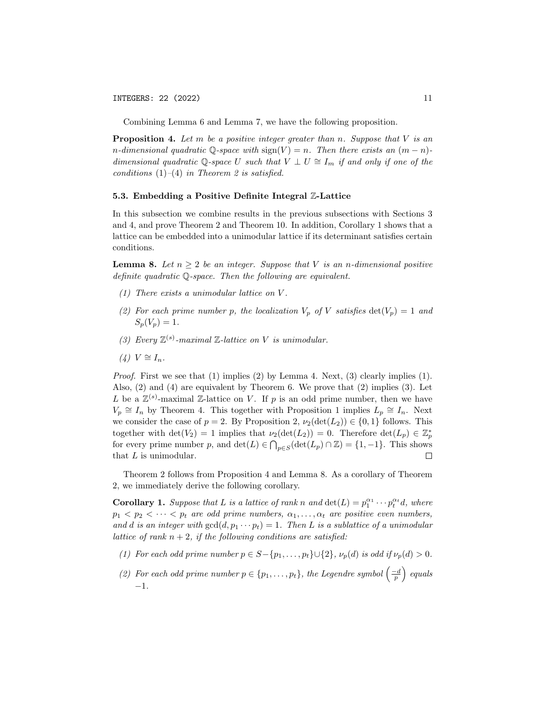Combining Lemma 6 and Lemma 7, we have the following proposition.

**Proposition 4.** Let m be a positive integer greater than n. Suppose that  $V$  is an n-dimensional quadratic  $\mathbb{Q}$ -space with  $sign(V) = n$ . Then there exists an  $(m - n)$ dimensional quadratic Q-space U such that  $V \perp U \cong I_m$  if and only if one of the conditions  $(1)$ – $(4)$  in Theorem 2 is satisfied.

#### 5.3. Embedding a Positive Definite Integral Z-Lattice

In this subsection we combine results in the previous subsections with Sections 3 and 4, and prove Theorem 2 and Theorem 10. In addition, Corollary 1 shows that a lattice can be embedded into a unimodular lattice if its determinant satisfies certain conditions.

**Lemma 8.** Let  $n > 2$  be an integer. Suppose that V is an n-dimensional positive definite quadratic Q-space. Then the following are equivalent.

- $(1)$  There exists a unimodular lattice on V.
- (2) For each prime number p, the localization  $V_p$  of V satisfies  $det(V_p) = 1$  and  $S_p(V_p) = 1.$
- (3) Every  $\mathbb{Z}^{(s)}$ -maximal  $\mathbb{Z}$ -lattice on V is unimodular.
- $(4) V \cong I_n$ .

*Proof.* First we see that (1) implies (2) by Lemma 4. Next, (3) clearly implies (1). Also, (2) and (4) are equivalent by Theorem 6. We prove that (2) implies (3). Let L be a  $\mathbb{Z}^{(s)}$ -maximal  $\mathbb{Z}$ -lattice on V. If p is an odd prime number, then we have  $V_p \cong I_n$  by Theorem 4. This together with Proposition 1 implies  $L_p \cong I_n$ . Next we consider the case of  $p = 2$ . By Proposition 2,  $\nu_2(\det(L_2)) \in \{0,1\}$  follows. This together with  $\det(V_2) = 1$  implies that  $\nu_2(\det(L_2)) = 0$ . Therefore  $\det(L_p) \in \mathbb{Z}_p^*$ for every prime number p, and  $\det(L) \in \bigcap_{p \in S} (\det(L_p) \cap \mathbb{Z}) = \{1, -1\}.$  This shows that  $L$  is unimodular.  $\Box$ 

Theorem 2 follows from Proposition 4 and Lemma 8. As a corollary of Theorem 2, we immediately derive the following corollary.

**Corollary 1.** Suppose that L is a lattice of rank n and  $\det(L) = p_1^{\alpha_1} \cdots p_t^{\alpha_t} d$ , where  $p_1 < p_2 < \cdots < p_t$  are odd prime numbers,  $\alpha_1, \ldots, \alpha_t$  are positive even numbers, and d is an integer with  $gcd(d, p_1 \cdots p_t) = 1$ . Then L is a sublattice of a unimodular lattice of rank  $n + 2$ , if the following conditions are satisfied:

- (1) For each odd prime number  $p \in S \{p_1, \ldots, p_t\} \cup \{2\}, \nu_p(d)$  is odd if  $\nu_p(d) > 0$ .
- (2) For each odd prime number  $p \in \{p_1, \ldots, p_t\}$ , the Legendre symbol  $\left(\frac{-d}{p}\right)$  equals −1.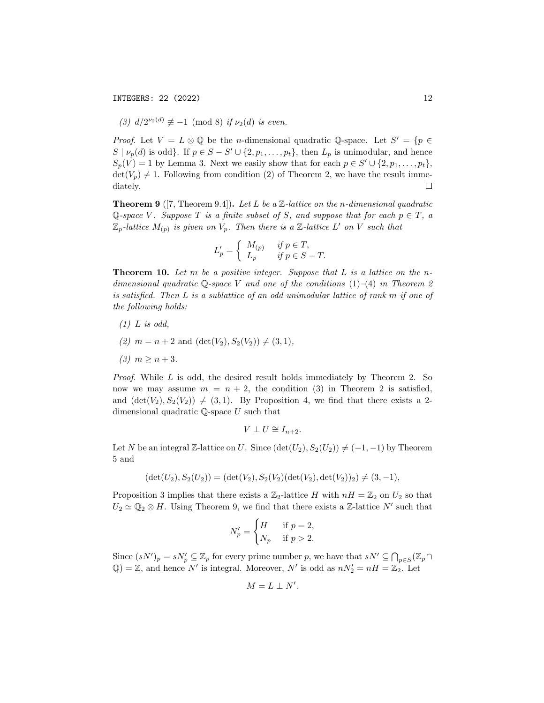INTEGERS: 22 (2022) 12

(3) 
$$
d/2^{\nu_2(d)} \not\equiv -1 \pmod{8}
$$
 if  $\nu_2(d)$  is even.

*Proof.* Let  $V = L \otimes \mathbb{Q}$  be the *n*-dimensional quadratic Q-space. Let  $S' = \{p \in \mathbb{Q}\}$  $S | \nu_p(d)$  is odd}. If  $p \in S - S' \cup \{2, p_1, \ldots, p_t\}$ , then  $L_p$  is unimodular, and hence  $S_p(V) = 1$  by Lemma 3. Next we easily show that for each  $p \in S' \cup \{2, p_1, \ldots, p_t\},$  $\det(V_p) \neq 1$ . Following from condition (2) of Theorem 2, we have the result immediately.  $\Box$ 

**Theorem 9** ([7, Theorem 9.4]). Let L be a  $\mathbb{Z}$ -lattice on the n-dimensional quadratic Q-space V. Suppose T is a finite subset of S, and suppose that for each  $p \in T$ , a  $\mathbb{Z}_p$ -lattice  $M_{(p)}$  is given on  $V_p$ . Then there is a  $\mathbb{Z}$ -lattice  $L'$  on V such that

$$
L'_p = \begin{cases} M_{(p)} & \text{if } p \in T, \\ L_p & \text{if } p \in S - T. \end{cases}
$$

**Theorem 10.** Let  $m$  be a positive integer. Suppose that  $L$  is a lattice on the ndimensional quadratic Q-space V and one of the conditions  $(1)-(4)$  in Theorem 2 is satisfied. Then L is a sublattice of an odd unimodular lattice of rank m if one of the following holds:

- $(1)$  L is odd,
- (2)  $m = n + 2$  and  $(\det(V_2), S_2(V_2)) \neq (3, 1),$
- (3)  $m \ge n+3$ .

Proof. While L is odd, the desired result holds immediately by Theorem 2. So now we may assume  $m = n + 2$ , the condition (3) in Theorem 2 is satisfied, and  $(\det(V_2), S_2(V_2)) \neq (3, 1)$ . By Proposition 4, we find that there exists a 2dimensional quadratic Q-space U such that

$$
V \perp U \cong I_{n+2}.
$$

Let N be an integral Z-lattice on U. Since  $(\det(U_2), S_2(U_2)) \neq (-1, -1)$  by Theorem 5 and

$$
(\det(U_2), S_2(U_2)) = (\det(V_2), S_2(V_2)(\det(V_2), \det(V_2))_2) \neq (3, -1),
$$

Proposition 3 implies that there exists a  $\mathbb{Z}_2$ -lattice H with  $nH = \mathbb{Z}_2$  on  $U_2$  so that  $U_2 \simeq \mathbb{Q}_2 \otimes H$ . Using Theorem 9, we find that there exists a Z-lattice N' such that

$$
N_p' = \begin{cases} H & \text{if } p = 2, \\ N_p & \text{if } p > 2. \end{cases}
$$

Since  $(sN')_p = sN'_p \subseteq \mathbb{Z}_p$  for every prime number p, we have that  $sN' \subseteq \bigcap_{p \in S} (\mathbb{Z}_p \cap$  $\mathbb{Q}$ ) = Z, and hence N' is integral. Moreover, N' is odd as  $nN'_2 = nH = \mathbb{Z}_2$ . Let

$$
M=L\perp N'.
$$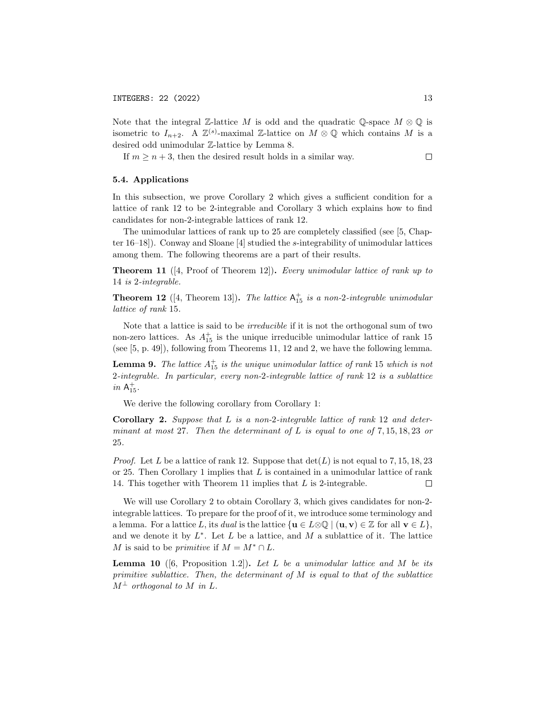Note that the integral Z-lattice M is odd and the quadratic Q-space  $M \otimes \mathbb{Q}$  is isometric to  $I_{n+2}$ . A  $\mathbb{Z}^{(s)}$ -maximal  $\mathbb{Z}$ -lattice on  $M \otimes \mathbb{Q}$  which contains M is a desired odd unimodular Z-lattice by Lemma 8.

If  $m \geq n+3$ , then the desired result holds in a similar way.  $\Box$ 

## 5.4. Applications

In this subsection, we prove Corollary 2 which gives a sufficient condition for a lattice of rank 12 to be 2-integrable and Corollary 3 which explains how to find candidates for non-2-integrable lattices of rank 12.

The unimodular lattices of rank up to 25 are completely classified (see [5, Chapter 16–18]). Conway and Sloane [4] studied the s-integrability of unimodular lattices among them. The following theorems are a part of their results.

**Theorem 11** ([4, Proof of Theorem 12]). Every unimodular lattice of rank up to 14 is 2-integrable.

**Theorem 12** ([4, Theorem 13]). The lattice  $A_{15}^+$  is a non-2-integrable unimodular lattice of rank 15.

Note that a lattice is said to be irreducible if it is not the orthogonal sum of two non-zero lattices. As  $A_{15}^+$  is the unique irreducible unimodular lattice of rank 15 (see [5, p. 49]), following from Theorems 11, 12 and 2, we have the following lemma.

**Lemma 9.** The lattice  $A_{15}^+$  is the unique unimodular lattice of rank 15 which is not 2-integrable. In particular, every non-2-integrable lattice of rank 12 is a sublattice  $in$   $A_{15}^+$ .

We derive the following corollary from Corollary 1:

Corollary 2. Suppose that L is a non-2-integrable lattice of rank 12 and determinant at most 27. Then the determinant of  $L$  is equal to one of 7, 15, 18, 23 or 25.

*Proof.* Let L be a lattice of rank 12. Suppose that  $\det(L)$  is not equal to 7, 15, 18, 23 or 25. Then Corollary 1 implies that  $L$  is contained in a unimodular lattice of rank 14. This together with Theorem 11 implies that L is 2-integrable.  $\Box$ 

We will use Corollary 2 to obtain Corollary 3, which gives candidates for non-2 integrable lattices. To prepare for the proof of it, we introduce some terminology and a lemma. For a lattice L, its dual is the lattice  $\{u \in L \otimes \mathbb{Q} \mid (u, v) \in \mathbb{Z} \text{ for all } v \in L\},\$ and we denote it by  $L^*$ . Let  $L$  be a lattice, and  $M$  a sublattice of it. The lattice M is said to be *primitive* if  $M = M^* \cap L$ .

**Lemma 10** ([6, Proposition 1.2]). Let L be a unimodular lattice and M be its primitive sublattice. Then, the determinant of  $M$  is equal to that of the sublattice  $M^{\perp}$  orthogonal to M in L.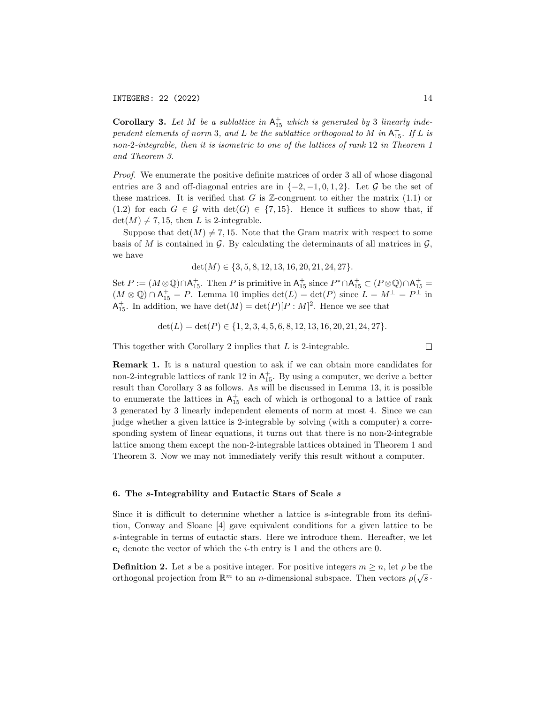**Corollary 3.** Let M be a sublattice in  $A_{15}^+$  which is generated by 3 linearly independent elements of norm 3, and L be the sublattice orthogonal to M in  $\mathsf{A}^+_{15}$ . If L is non-2-integrable, then it is isometric to one of the lattices of rank 12 in Theorem 1 and Theorem 3.

Proof. We enumerate the positive definite matrices of order 3 all of whose diagonal entries are 3 and off-diagonal entries are in  $\{-2, -1, 0, 1, 2\}$ . Let G be the set of these matrices. It is verified that G is  $\mathbb{Z}$ -congruent to either the matrix (1.1) or (1.2) for each  $G \in \mathcal{G}$  with  $\det(G) \in \{7, 15\}$ . Hence it suffices to show that, if  $\det(M) \neq 7, 15$ , then L is 2-integrable.

Suppose that  $\det(M) \neq 7, 15$ . Note that the Gram matrix with respect to some basis of M is contained in G. By calculating the determinants of all matrices in  $\mathcal{G}$ , we have

 $\det(M) \in \{3, 5, 8, 12, 13, 16, 20, 21, 24, 27\}.$ 

Set  $P := (M \otimes \mathbb{Q}) \cap \mathsf{A}_{15}^+$ . Then P is primitive in  $\mathsf{A}_{15}^+$  since  $P^* \cap \mathsf{A}_{15}^+ \subset (P \otimes \mathbb{Q}) \cap \mathsf{A}_{15}^+$  $(M \otimes \mathbb{Q}) \cap A_{15}^+ = P$ . Lemma 10 implies  $\det(L) = \det(P)$  since  $L = M^{\perp} = P^{\perp}$  in  $\mathsf{A}^+_{15}$ . In addition, we have  $\det(M) = \det(P)[P:M]^2$ . Hence we see that

$$
\det(L) = \det(P) \in \{1, 2, 3, 4, 5, 6, 8, 12, 13, 16, 20, 21, 24, 27\}.
$$

This together with Corollary 2 implies that L is 2-integrable.

Remark 1. It is a natural question to ask if we can obtain more candidates for non-2-integrable lattices of rank 12 in  $\mathsf{A}^+_{15}$ . By using a computer, we derive a better result than Corollary 3 as follows. As will be discussed in Lemma 13, it is possible to enumerate the lattices in  $A_{15}^+$  each of which is orthogonal to a lattice of rank 3 generated by 3 linearly independent elements of norm at most 4. Since we can judge whether a given lattice is 2-integrable by solving (with a computer) a corresponding system of linear equations, it turns out that there is no non-2-integrable lattice among them except the non-2-integrable lattices obtained in Theorem 1 and Theorem 3. Now we may not immediately verify this result without a computer.

#### 6. The s-Integrability and Eutactic Stars of Scale s

Since it is difficult to determine whether a lattice is s-integrable from its definition, Conway and Sloane [4] gave equivalent conditions for a given lattice to be s-integrable in terms of eutactic stars. Here we introduce them. Hereafter, we let  $e_i$  denote the vector of which the *i*-th entry is 1 and the others are 0.

**Definition 2.** Let s be a positive integer. For positive integers  $m \ge n$ , let  $\rho$  be the **Definition 2.** Let s be a positive integer. For positive integers  $m \ge n$ , let  $p$  be the orthogonal projection from  $\mathbb{R}^m$  to an *n*-dimensional subspace. Then vectors  $\rho(\sqrt{s} \cdot \vec{n})$ 

 $\Box$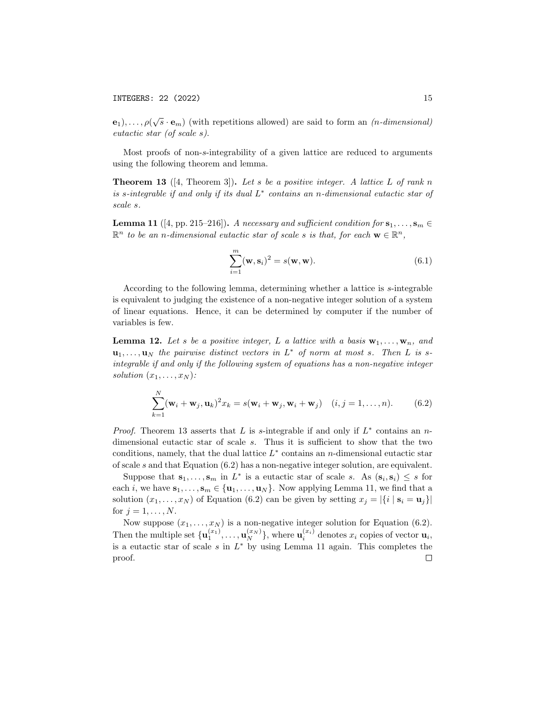$\mathbf{e}_1), \ldots, \rho(\sqrt{s} \cdot \mathbf{e}_m)$  (with repetitions allowed) are said to form an  $(n$ -dimensional) eutactic star (of scale s).

Most proofs of non-s-integrability of a given lattice are reduced to arguments using the following theorem and lemma.

**Theorem 13** ([4, Theorem 3]). Let s be a positive integer. A lattice L of rank n is s-integrable if and only if its dual  $L^*$  contains an n-dimensional eutactic star of scale s.

**Lemma 11** ([4, pp. 215–216]). A necessary and sufficient condition for  $\mathbf{s}_1, \ldots, \mathbf{s}_m \in$  $\mathbb{R}^n$  to be an n-dimensional eutactic star of scale s is that, for each  $\mathbf{w} \in \mathbb{R}^n$ ,

$$
\sum_{i=1}^{m} (\mathbf{w}, \mathbf{s}_i)^2 = s(\mathbf{w}, \mathbf{w}).
$$
\n(6.1)

According to the following lemma, determining whether a lattice is s-integrable is equivalent to judging the existence of a non-negative integer solution of a system of linear equations. Hence, it can be determined by computer if the number of variables is few.

**Lemma 12.** Let s be a positive integer, L a lattice with a basis  $\mathbf{w}_1, \ldots, \mathbf{w}_n$ , and  $\mathbf{u}_1, \ldots, \mathbf{u}_N$  the pairwise distinct vectors in  $L^*$  of norm at most s. Then L is sintegrable if and only if the following system of equations has a non-negative integer solution  $(x_1, \ldots, x_N)$ :

$$
\sum_{k=1}^{N} (\mathbf{w}_i + \mathbf{w}_j, \mathbf{u}_k)^2 x_k = s(\mathbf{w}_i + \mathbf{w}_j, \mathbf{w}_i + \mathbf{w}_j) \quad (i, j = 1, \dots, n). \tag{6.2}
$$

*Proof.* Theorem 13 asserts that L is s-integrable if and only if  $L^*$  contains an ndimensional eutactic star of scale s. Thus it is sufficient to show that the two conditions, namely, that the dual lattice  $L^*$  contains an *n*-dimensional eutactic star of scale s and that Equation (6.2) has a non-negative integer solution, are equivalent.

Suppose that  $\mathbf{s}_1,\ldots,\mathbf{s}_m$  in  $L^*$  is a eutactic star of scale s. As  $(\mathbf{s}_i,\mathbf{s}_i) \leq s$  for each i, we have  $\mathbf{s}_1, \ldots, \mathbf{s}_m \in \{\mathbf{u}_1, \ldots, \mathbf{u}_N\}$ . Now applying Lemma 11, we find that a solution  $(x_1, \ldots, x_N)$  of Equation (6.2) can be given by setting  $x_j = |\{i \mid s_i = u_j\}|$ for  $j = 1, \ldots, N$ .

Now suppose  $(x_1, \ldots, x_N)$  is a non-negative integer solution for Equation (6.2). Then the multiple set  $\{\mathbf u_1^{(x_1)}, \ldots, \mathbf u_N^{(x_N)}\}$ , where  $\mathbf u_i^{(x_i)}$  denotes  $x_i$  copies of vector  $\mathbf u_i$ , is a eutactic star of scale  $s$  in  $L^*$  by using Lemma 11 again. This completes the proof. $\Box$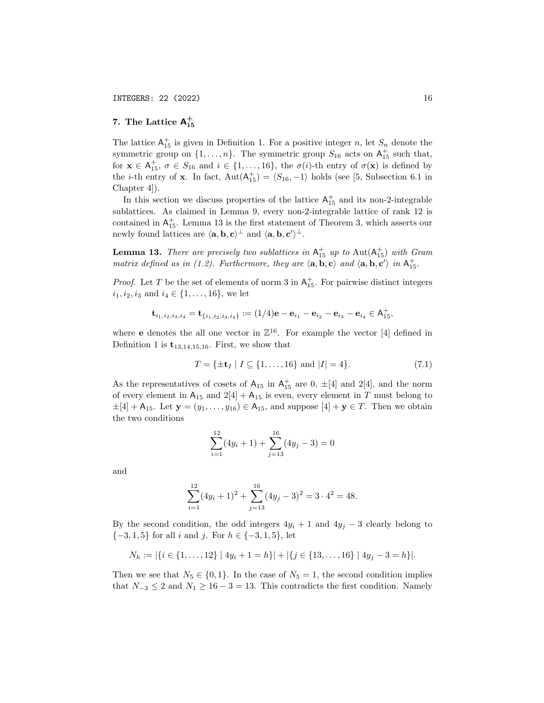# 7. The Lattice  $A_{15}^+$

The lattice  $A_{15}^+$  is given in Definition 1. For a positive integer n, let  $S_n$  denote the symmetric group on  $\{1, \ldots, n\}$ . The symmetric group  $S_{16}$  acts on  $\mathsf{A}_{15}^+$  such that, for  $\mathbf{x} \in A_{15}^+$ ,  $\sigma \in S_{16}$  and  $i \in \{1, ..., 16\}$ , the  $\sigma(i)$ -th entry of  $\sigma(\mathbf{x})$  is defined by the *i*-th entry of **x**. In fact,  $Aut(A<sup>+</sup><sub>15</sub>) = \langle S_{16}, -1 \rangle$  holds (see [5, Subsection 6.1 in Chapter 4]).

In this section we discuss properties of the lattice  $A_{15}^+$  and its non-2-integrable sublattices. As claimed in Lemma 9, every non-2-integrable lattice of rank 12 is contained in  $A_{15}^+$ . Lemma 13 is the first statement of Theorem 3, which asserts our newly found lattices are  $\langle \mathbf{a}, \mathbf{b}, \mathbf{c} \rangle^{\perp}$  and  $\langle \mathbf{a}, \mathbf{b}, \mathbf{c'} \rangle^{\perp}$ .

**Lemma 13.** There are precisely two sublattices in  $A_{15}^+$  up to  $Aut(A_{15}^+)$  with Gram matrix defined as in (1.2). Furthermore, they are  $\langle \mathbf{a}, \mathbf{b}, \mathbf{c} \rangle$  and  $\langle \mathbf{a}, \mathbf{b}, \mathbf{c'} \rangle$  in  $\mathsf{A}^+_{15}$ .

*Proof.* Let T be the set of elements of norm 3 in  $A_{15}^+$ . For pairwise distinct integers  $i_1, i_2, i_3$  and  $i_4 \in \{1, \ldots, 16\}$ , we let

$$
\mathbf{t}_{i_1,i_2,i_3,i_4} = \mathbf{t}_{\{i_1,i_2,i_3,i_4\}} := (1/4)\mathbf{e} - \mathbf{e}_{i_1} - \mathbf{e}_{i_2} - \mathbf{e}_{i_3} - \mathbf{e}_{i_4} \in \mathsf{A}_{15}^+,
$$

where **e** denotes the all one vector in  $\mathbb{Z}^{16}$ . For example the vector [4] defined in Definition 1 is  $t_{13,14,15,16}$ . First, we show that

$$
T = \{ \pm \mathbf{t}_I \mid I \subseteq \{1, \dots, 16\} \text{ and } |I| = 4 \}. \tag{7.1}
$$

As the representatives of cosets of  $A_{15}$  in  $A_{15}^+$  are 0,  $\pm$ [4] and 2[4], and the norm of every element in  $A_{15}$  and  $2[4] + A_{15}$  is even, every element in T must belong to  $\pm[4] + A_{15}$ . Let  $y = (y_1, \ldots, y_{16}) \in A_{15}$ , and suppose  $[4] + y \in T$ . Then we obtain the two conditions

$$
\sum_{i=1}^{12} (4y_i + 1) + \sum_{j=13}^{16} (4y_j - 3) = 0
$$

and

$$
\sum_{i=1}^{12} (4y_i + 1)^2 + \sum_{j=13}^{16} (4y_j - 3)^2 = 3 \cdot 4^2 = 48.
$$

By the second condition, the odd integers  $4y_i + 1$  and  $4y_j - 3$  clearly belong to  ${-3, 1, 5}$  for all i and j. For  $h \in \{-3, 1, 5\}$ , let

$$
N_h := |\{i \in \{1, \ldots, 12\} \mid 4y_i + 1 = h\}| + |\{j \in \{13, \ldots, 16\} \mid 4y_j - 3 = h\}|.
$$

Then we see that  $N_5 \in \{0,1\}$ . In the case of  $N_5 = 1$ , the second condition implies that  $N_{-3} \leq 2$  and  $N_1 \geq 16 - 3 = 13$ . This contradicts the first condition. Namely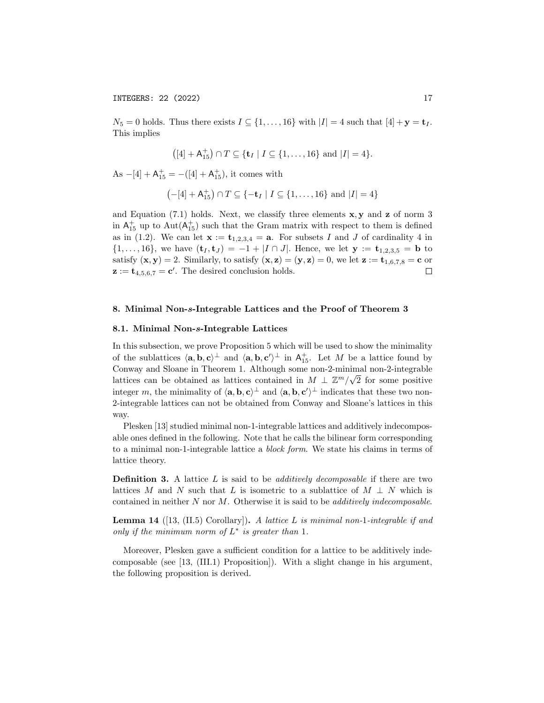$N_5 = 0$  holds. Thus there exists  $I \subseteq \{1, \ldots, 16\}$  with  $|I| = 4$  such that  $[4] + \mathbf{y} = \mathbf{t}_I$ . This implies

$$
([4] + \mathsf{A}_{15}^+) \cap T \subseteq \{\mathbf{t}_I \mid I \subseteq \{1, \ldots, 16\} \text{ and } |I| = 4\}.
$$

As  $-[4] + A_{15}^+ = -([4] + A_{15}^+),$  it comes with

$$
(-[4] + A_{15}^+) \cap T \subseteq \{-\mathbf{t}_I \mid I \subseteq \{1, \ldots, 16\} \text{ and } |I| = 4\}
$$

and Equation (7.1) holds. Next, we classify three elements  $x, y$  and z of norm 3 in  $A_{15}^+$  up to  $Aut(A_{15}^+)$  such that the Gram matrix with respect to them is defined as in (1.2). We can let  $\mathbf{x} := \mathbf{t}_{1,2,3,4} = \mathbf{a}$ . For subsets I and J of cardinality 4 in  $\{1, \ldots, 16\}$ , we have  $(\mathbf{t}_I, \mathbf{t}_J) = -1 + |I \cap J|$ . Hence, we let  $\mathbf{y} := \mathbf{t}_{1,2,3,5} = \mathbf{b}$  to satisfy  $(\mathbf{x}, \mathbf{y}) = 2$ . Similarly, to satisfy  $(\mathbf{x}, \mathbf{z}) = (\mathbf{y}, \mathbf{z}) = 0$ , we let  $\mathbf{z} := \mathbf{t}_{1,6,7,8} = \mathbf{c}$  or  $\mathbf{z} := \mathbf{t}_{4,5,6,7} = \mathbf{c}'$ . The desired conclusion holds.  $\Box$ 

#### 8. Minimal Non-s-Integrable Lattices and the Proof of Theorem 3

#### 8.1. Minimal Non-s-Integrable Lattices

In this subsection, we prove Proposition 5 which will be used to show the minimality of the sublattices  $\langle \mathbf{a}, \mathbf{b}, \mathbf{c} \rangle^{\perp}$  and  $\langle \mathbf{a}, \mathbf{b}, \mathbf{c'} \rangle^{\perp}$  in  $A_{15}^{+}$ . Let M be a lattice found by Conway and Sloane in Theorem 1. Although some non-2-minimal non-2-integrable lattices can be obtained as lattices contained in  $M \perp \mathbb{Z}^m/\sqrt{2}$  for some positive integer m, the minimality of  $\langle \mathbf{a}, \mathbf{b}, \mathbf{c} \rangle^{\perp}$  and  $\langle \mathbf{a}, \mathbf{b}, \mathbf{c'} \rangle^{\perp}$  indicates that these two non-2-integrable lattices can not be obtained from Conway and Sloane's lattices in this way.

Plesken [13] studied minimal non-1-integrable lattices and additively indecomposable ones defined in the following. Note that he calls the bilinear form corresponding to a minimal non-1-integrable lattice a block form. We state his claims in terms of lattice theory.

**Definition 3.** A lattice  $L$  is said to be *additively decomposable* if there are two lattices M and N such that L is isometric to a sublattice of  $M \perp N$  which is contained in neither  $N$  nor  $M$ . Otherwise it is said to be *additively indecomposable*.

**Lemma 14** ([13, (II.5) Corollary]). A lattice L is minimal non-1-integrable if and only if the minimum norm of  $L^*$  is greater than 1.

Moreover, Plesken gave a sufficient condition for a lattice to be additively indecomposable (see [13, (III.1) Proposition]). With a slight change in his argument, the following proposition is derived.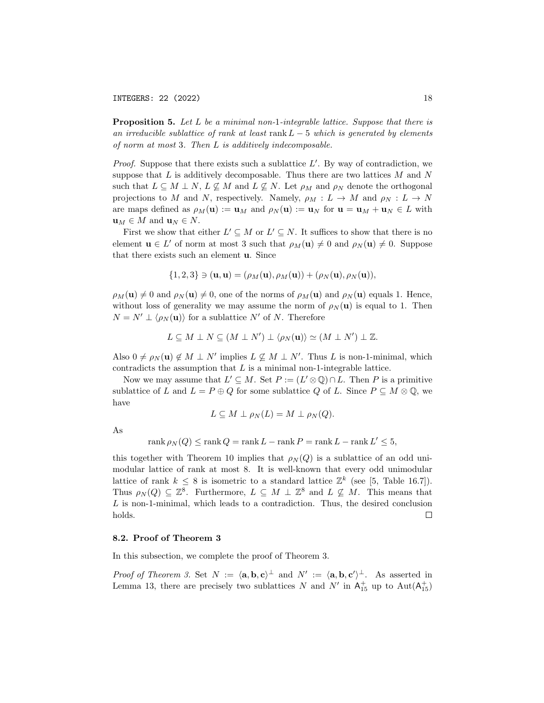**Proposition 5.** Let  $L$  be a minimal non-1-integrable lattice. Suppose that there is an irreducible sublattice of rank at least rank  $L-5$  which is generated by elements of norm at most 3. Then L is additively indecomposable.

*Proof.* Suppose that there exists such a sublattice  $L'$ . By way of contradiction, we suppose that  $L$  is additively decomposable. Thus there are two lattices  $M$  and  $N$ such that  $L \subseteq M \perp N$ ,  $L \not\subseteq M$  and  $L \not\subseteq N$ . Let  $\rho_M$  and  $\rho_N$  denote the orthogonal projections to M and N, respectively. Namely,  $\rho_M : L \to M$  and  $\rho_N : L \to N$ are maps defined as  $\rho_M(\mathbf{u}) := \mathbf{u}_M$  and  $\rho_N(\mathbf{u}) := \mathbf{u}_N$  for  $\mathbf{u} = \mathbf{u}_M + \mathbf{u}_N \in L$  with  $\mathbf{u}_M \in M$  and  $\mathbf{u}_N \in N$ .

First we show that either  $L' \subseteq M$  or  $L' \subseteq N$ . It suffices to show that there is no element  $\mathbf{u} \in L'$  of norm at most 3 such that  $\rho_M(\mathbf{u}) \neq 0$  and  $\rho_N(\mathbf{u}) \neq 0$ . Suppose that there exists such an element u. Since

$$
\{1,2,3\} \ni (\mathbf{u},\mathbf{u}) = (\rho_M(\mathbf{u}), \rho_M(\mathbf{u})) + (\rho_N(\mathbf{u}), \rho_N(\mathbf{u})),
$$

 $\rho_M(\mathbf{u}) \neq 0$  and  $\rho_N(\mathbf{u}) \neq 0$ , one of the norms of  $\rho_M(\mathbf{u})$  and  $\rho_N(\mathbf{u})$  equals 1. Hence, without loss of generality we may assume the norm of  $\rho_N(\mathbf{u})$  is equal to 1. Then  $N = N' \perp \langle \rho_N(u) \rangle$  for a sublattice N' of N. Therefore

$$
L \subseteq M \perp N \subseteq (M \perp N') \perp \langle \rho_N(\mathbf{u}) \rangle \simeq (M \perp N') \perp \mathbb{Z}.
$$

Also  $0 \neq \rho_N(\mathbf{u}) \notin M \perp N'$  implies  $L \nsubseteq M \perp N'$ . Thus L is non-1-minimal, which contradicts the assumption that  $L$  is a minimal non-1-integrable lattice.

Now we may assume that  $L' \subseteq M$ . Set  $P := (L' \otimes \mathbb{Q}) \cap L$ . Then P is a primitive sublattice of L and  $L = P \oplus Q$  for some sublattice Q of L. Since  $P \subseteq M \otimes \mathbb{Q}$ , we have

$$
L \subseteq M \perp \rho_N(L) = M \perp \rho_N(Q).
$$

As

$$
rank \rho_N(Q) \le rank Q = rank L - rank P = rank L - rank L' \le 5,
$$

this together with Theorem 10 implies that  $\rho_N(Q)$  is a sublattice of an odd unimodular lattice of rank at most 8. It is well-known that every odd unimodular lattice of rank  $k \leq 8$  is isometric to a standard lattice  $\mathbb{Z}^k$  (see [5, Table 16.7]). Thus  $\rho_N(Q) \subseteq \mathbb{Z}^8$ . Furthermore,  $L \subseteq M \perp \mathbb{Z}^8$  and  $L \nsubseteq M$ . This means that L is non-1-minimal, which leads to a contradiction. Thus, the desired conclusion holds.  $\Box$ 

#### 8.2. Proof of Theorem 3

In this subsection, we complete the proof of Theorem 3.

Proof of Theorem 3. Set  $N := \langle \mathbf{a}, \mathbf{b}, \mathbf{c} \rangle^{\perp}$  and  $N' := \langle \mathbf{a}, \mathbf{b}, \mathbf{c'} \rangle^{\perp}$ . As asserted in Lemma 13, there are precisely two sublattices N and N' in  $A_{15}^+$  up to  $Aut(A_{15}^+)$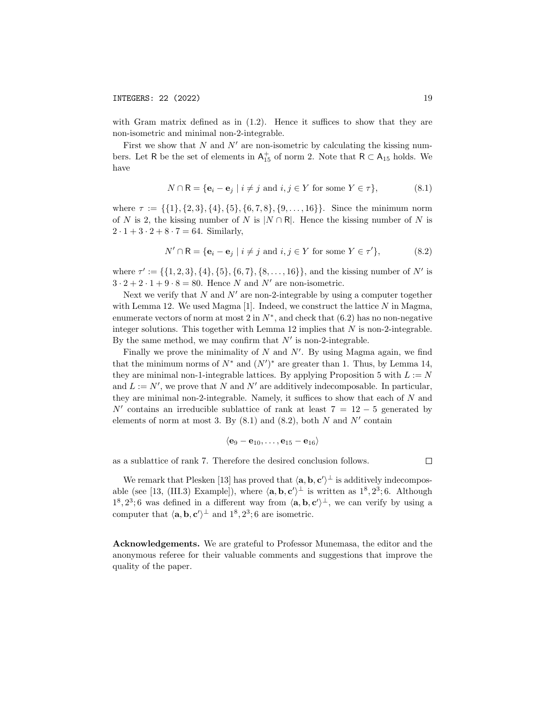with Gram matrix defined as in  $(1.2)$ . Hence it suffices to show that they are non-isometric and minimal non-2-integrable.

First we show that  $N$  and  $N'$  are non-isometric by calculating the kissing numbers. Let R be the set of elements in  $A_{15}^+$  of norm 2. Note that  $R \subset A_{15}$  holds. We have

$$
N \cap \mathsf{R} = \{ \mathbf{e}_i - \mathbf{e}_j \mid i \neq j \text{ and } i, j \in Y \text{ for some } Y \in \tau \},\tag{8.1}
$$

where  $\tau := \{\{1\}, \{2, 3\}, \{4\}, \{5\}, \{6, 7, 8\}, \{9, \ldots, 16\}\}.$  Since the minimum norm of N is 2, the kissing number of N is  $|N \cap R|$ . Hence the kissing number of N is  $2 \cdot 1 + 3 \cdot 2 + 8 \cdot 7 = 64$ . Similarly,

$$
N' \cap \mathsf{R} = \{ \mathbf{e}_i - \mathbf{e}_j \mid i \neq j \text{ and } i, j \in Y \text{ for some } Y \in \tau' \},\tag{8.2}
$$

where  $\tau' := \{\{1, 2, 3\}, \{4\}, \{5\}, \{6, 7\}, \{8, \ldots, 16\}\}\$ , and the kissing number of N' is  $3 \cdot 2 + 2 \cdot 1 + 9 \cdot 8 = 80$ . Hence N and N' are non-isometric.

Next we verify that N and N' are non-2-integrable by using a computer together with Lemma 12. We used Magma  $[1]$ . Indeed, we construct the lattice N in Magma, enumerate vectors of norm at most 2 in  $N^*$ , and check that  $(6.2)$  has no non-negative integer solutions. This together with Lemma 12 implies that  $N$  is non-2-integrable. By the same method, we may confirm that  $N'$  is non-2-integrable.

Finally we prove the minimality of  $N$  and  $N'$ . By using Magma again, we find that the minimum norms of  $N^*$  and  $(N')^*$  are greater than 1. Thus, by Lemma 14, they are minimal non-1-integrable lattices. By applying Proposition 5 with  $L := N$ and  $L := N'$ , we prove that N and N' are additively indecomposable. In particular, they are minimal non-2-integrable. Namely, it suffices to show that each of  $N$  and N' contains an irreducible sublattice of rank at least  $7 = 12 - 5$  generated by elements of norm at most 3. By  $(8.1)$  and  $(8.2)$ , both N and N' contain

$$
\langle \mathbf{e}_9-\mathbf{e}_{10},\ldots,\mathbf{e}_{15}-\mathbf{e}_{16}\rangle
$$

as a sublattice of rank 7. Therefore the desired conclusion follows.

 $\Box$ 

We remark that Plesken [13] has proved that  $\langle \mathbf{a}, \mathbf{b}, \mathbf{c}' \rangle^{\perp}$  is additively indecomposable (see [13, (III.3) Example]), where  $\langle \mathbf{a}, \mathbf{b}, \mathbf{c}' \rangle^{\perp}$  is written as  $1^8, 2^3; 6$ . Although  $1^8, 2^3$ ; 6 was defined in a different way from  $\langle \mathbf{a}, \mathbf{b}, \mathbf{c}' \rangle \rangle$ , we can verify by using a computer that  $\langle \mathbf{a}, \mathbf{b}, \mathbf{c}' \rangle^{\perp}$  and  $1^8, 2^3$ ; 6 are isometric.

Acknowledgements. We are grateful to Professor Munemasa, the editor and the anonymous referee for their valuable comments and suggestions that improve the quality of the paper.